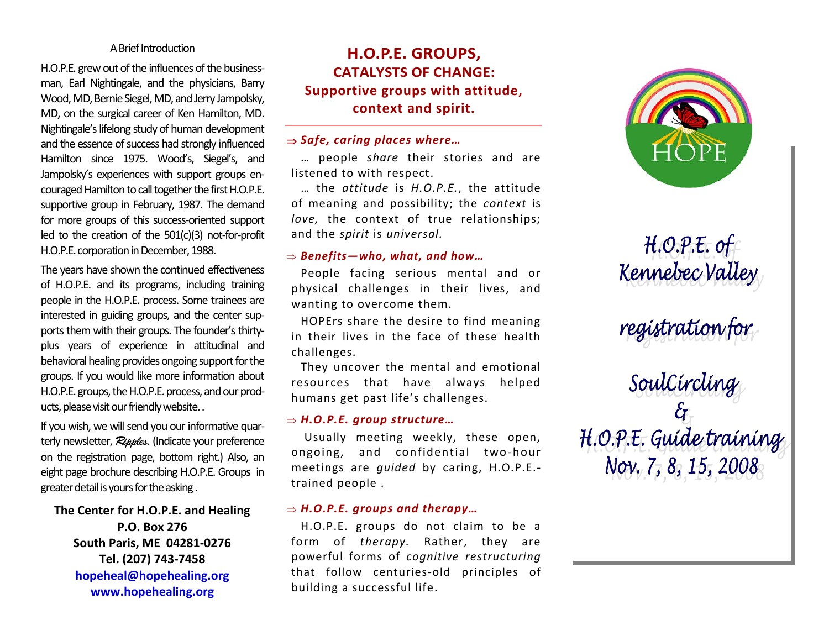#### A Brief Introduction

H.O.P.E. grew out of the influences of the businessman, Earl Nightingale, and the physicians, Barry Wood, MD, Bernie Siegel, MD, and Jerry Jampolsky, MD, on the surgical career of Ken Hamilton, MD. Nightingale's lifelong study of human development and the essence of success had strongly influenced Hamilton since 1975. Wood's, Siegel's, and Jampolsky's experiences with support groups encouraged Hamilton to call together the first H.O.P.E. supportive group in February, 1987. The demand for more groups of this success-oriented support led to the creation of the 501(c)(3) not-for-profit H.O.P.E. corporation in December, 1988.

The years have shown the continued effectiveness of H.O.P.E. and its programs, including training people in the H.O.P.E. process. Some trainees are interested in guiding groups, and the center supports them with their groups. The founder's thirtyplus years of experience in attitudinal and behavioral healing provides ongoing support for the groups. If you would like more information about H.O.P.E. groups, the H.O.P.E. process, and our products, please visit our friendly website..

If you wish, we will send you our informative quarterly newsletter, Ripples. (Indicate your preference on the registration page, bottom right.) Also, an eight page brochure describing H.O.P.E. Groups in greater detail is yours for the asking .

**The Center for H.O.P.E. and Healing P.O. Box 276 South Paris, ME 04281-0276 Tel. (207) 743-7458 hopeheal@hopehealing.org www.hopehealing.org**

# **H.O.P.E. GROUPS, CATALYSTS OF CHANGE: Supportive groups with attitude, context and spirit.**

## ⇒ Safe, caring places where…

… people *share* their stories and are listened to with respect.

… the *attitude* is *H.O.P.E.*, the attitude of meaning and possibility; the *context* is *love,* the context of true relationships; and the *spirit* is *universal.*

#### *Benefits—who, what, and how…*

People facing serious mental and or physical challenges in their lives, and wanting to overcome them.

HOPErs share the desire to find meaning in their lives in the face of these health challenges.

They uncover the mental and emotional resources that have always helped humans get past life's challenges.

#### *H.O.P.E. group structure…*

Usually meeting weekly, these open, ongoing, and confidential two-hour meetings are *guided* by caring, H.O.P.E. trained people .

## *H.O.P.E. groups and therapy…*

H.O.P.E. groups do not claim to be a form of *therapy.* Rather, they are powerful forms of *cognitive restructuring*  that follow centuries-old principles of building a successful life.



 $H.O.P.E.$  of Kennebec Valley

registration for<br>SoulCircling<br>H.O.P.E. Guide training Nov. 7, 8, 15, 2008